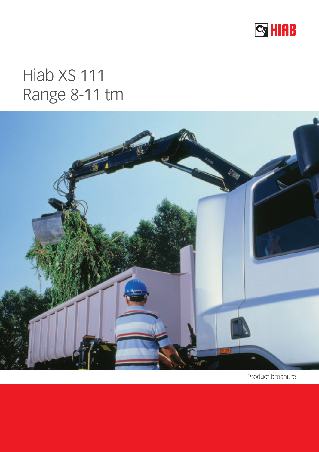

# Hiab XS 111 Range 8-11 tm



Product brochure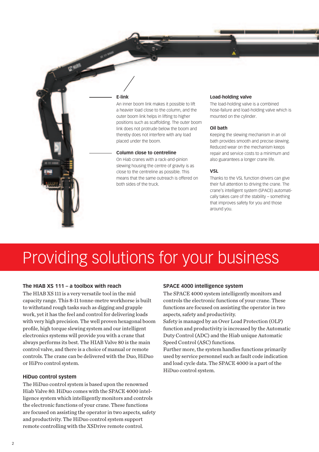#### **E-link**

G NING ROOM

An inner boom link makes it possible to lift a heavier load close to the column, and the outer boom link helps in lifting to higher positions such as scaffolding. The outer boom link does not protrude below the boom and thereby does not interfere with any load placed under the boom.

#### **Column close to centreline**

On Hiab cranes with a rack-and-pinion slewing housing the centre of gravity is as close to the centreline as possible. This means that the same outreach is offered on both sides of the truck.

#### **Load-holding valve**

The load-holding valve is a combined hose-failure and load-holding valve which is mounted on the cylinder.

#### **Oil bath**

Keeping the slewing mechanism in an oil bath provides smooth and precise slewing. Reduced wear on the mechanism keeps repair and service costs to a minimum and also guarantees a longer crane life.

#### **VSL**

Thanks to the VSL function drivers can give their full attention to driving the crane. The crane's intelligent system (SPACE) automatically takes care of the stability – something that improves safety for you and those around you.

# Providing solutions for your business

# **The HIAB XS 111 – a toolbox with reach**

The HIAB XS 111 is a very versatile tool in the mid capacity range. This 8-11 tonne-metre workhorse is built to withstand rough tasks such as digging and grapple work, yet it has the feel and control for delivering loads with very high precision. The well proven hexagonal boom profile, high torque slewing system and our intelligent electronics systems will provide you with a crane that always performs its best. The HIAB Valve 80 is the main control valve, and there is a choice of manual or remote controls. The crane can be delivered with the Duo, HiDuo or HiPro control system.

# **HiDuo control system**

The HiDuo control system is based upon the renowned Hiab Valve 80. HiDuo comes with the SPACE 4000 intelligence system which intelligently monitors and controls the electronic functions of your crane. These functions are focused on assisting the operator in two aspects, safety and productivity. The HiDuo control system support remote controlling with the XSDrive remote control.

# **SPACE 4000 intelligence system**

The SPACE 4000 system intelligently monitors and controls the electronic functions of your crane. These functions are focused on assisting the operator in two aspects, safety and productivity.

Safety is managed by an Over Load Protection (OLP) function and productivity is increased by the Automatic Duty Control (ADC) and the Hiab unique Automatic Speed Control (ASC) functions.

Further more, the system handles functions primarily used by service personnel such as fault code indication and load cycle data. The SPACE 4000 is a part of the HiDuo control system.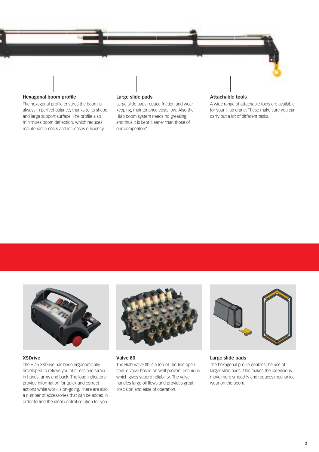

# **Hexagonal boom profile**

The hexagonal profile ensures the boom is always in perfect balance, thanks to its shape and large support surface. The profile also minimizes boom deflection, which reduces maintenance costs and increases efficiency.

# **Large slide pads**

Large slide pads reduce friction and wear keeping, maintenance costs low. Also the Hiab boom system needs no greasing, and thus it is kept cleaner than those of our competitors'.

#### **Attachable tools**

A wide range of attachable tools are available for your Hiab crane. These make sure you can carry out a lot of different tasks.



#### **XSDrive**

The Hiab XSDrive has been ergonomically developed to relieve you of stress and strain in hands, arms and back. The load indicators provide information for quick and correct actions while work is on-going. There are also a number of accessories that can be added in order to find the ideal control solution for you.



# **Valve 80**

The Hiab Valve 80 is a top-of-the-line opencentre valve based on well-proven technique which gives superb reliability. The valve handles large oil flows and provides great precision and ease of operation.



#### **Large slide pads**

The hexagonal profile enables the use of larger slide pads. This makes the extensions move more smoothly and reduces mechanical wear on the boom.